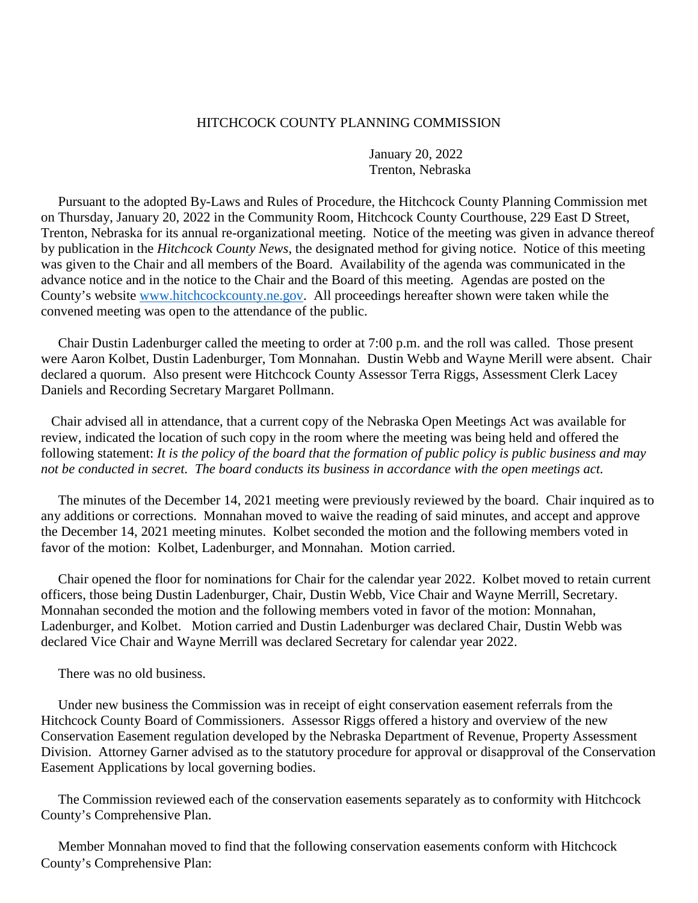## HITCHCOCK COUNTY PLANNING COMMISSION

January 20, 2022 Trenton, Nebraska

 Pursuant to the adopted By-Laws and Rules of Procedure, the Hitchcock County Planning Commission met on Thursday, January 20, 2022 in the Community Room, Hitchcock County Courthouse, 229 East D Street, Trenton, Nebraska for its annual re-organizational meeting. Notice of the meeting was given in advance thereof by publication in the *Hitchcock County News*, the designated method for giving notice. Notice of this meeting was given to the Chair and all members of the Board. Availability of the agenda was communicated in the advance notice and in the notice to the Chair and the Board of this meeting. Agendas are posted on the County's website www.hitchcockcounty.ne.gov. All proceedings hereafter shown were taken while the convened meeting was open to the attendance of the public.

 Chair Dustin Ladenburger called the meeting to order at 7:00 p.m. and the roll was called. Those present were Aaron Kolbet, Dustin Ladenburger, Tom Monnahan. Dustin Webb and Wayne Merill were absent. Chair declared a quorum. Also present were Hitchcock County Assessor Terra Riggs, Assessment Clerk Lacey Daniels and Recording Secretary Margaret Pollmann.

 Chair advised all in attendance, that a current copy of the Nebraska Open Meetings Act was available for review, indicated the location of such copy in the room where the meeting was being held and offered the following statement: *It is the policy of the board that the formation of public policy is public business and may not be conducted in secret. The board conducts its business in accordance with the open meetings act.* 

 The minutes of the December 14, 2021 meeting were previously reviewed by the board. Chair inquired as to any additions or corrections. Monnahan moved to waive the reading of said minutes, and accept and approve the December 14, 2021 meeting minutes. Kolbet seconded the motion and the following members voted in favor of the motion: Kolbet, Ladenburger, and Monnahan. Motion carried.

 Chair opened the floor for nominations for Chair for the calendar year 2022. Kolbet moved to retain current officers, those being Dustin Ladenburger, Chair, Dustin Webb, Vice Chair and Wayne Merrill, Secretary. Monnahan seconded the motion and the following members voted in favor of the motion: Monnahan, Ladenburger, and Kolbet. Motion carried and Dustin Ladenburger was declared Chair, Dustin Webb was declared Vice Chair and Wayne Merrill was declared Secretary for calendar year 2022.

There was no old business.

 Under new business the Commission was in receipt of eight conservation easement referrals from the Hitchcock County Board of Commissioners. Assessor Riggs offered a history and overview of the new Conservation Easement regulation developed by the Nebraska Department of Revenue, Property Assessment Division. Attorney Garner advised as to the statutory procedure for approval or disapproval of the Conservation Easement Applications by local governing bodies.

 The Commission reviewed each of the conservation easements separately as to conformity with Hitchcock County's Comprehensive Plan.

 Member Monnahan moved to find that the following conservation easements conform with Hitchcock County's Comprehensive Plan: